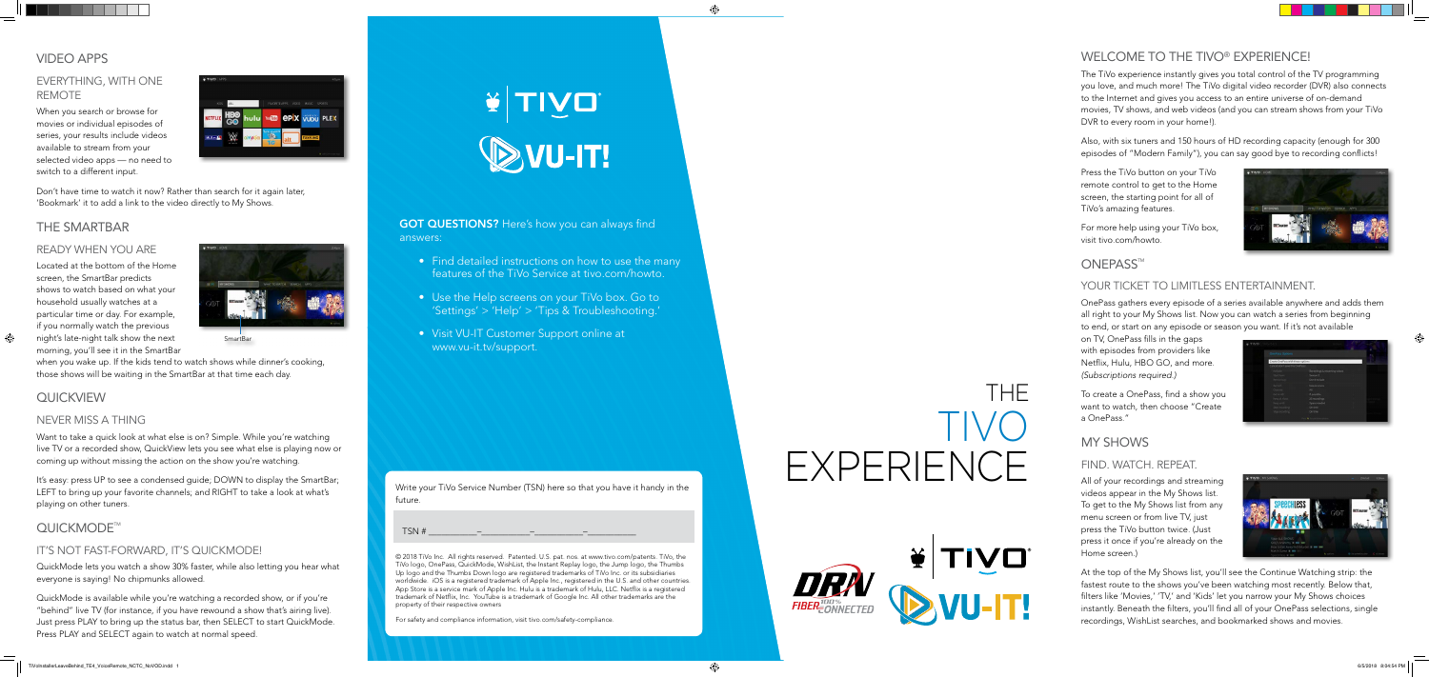**GOT QUESTIONS?** Here's how you can always find answers:

- Find detailed instructions on how to use the many features of the TiVo Service at tivo.com/howto.
- Use the Help screens on your TiVo box. Go to 'Settings' > 'Help' > 'Tips & Troubleshooting.'
- Visit VU-IT Customer Support online at www.vu-it.tv/support.

# VIDEO APPS

## EVERYTHING, WITH ONE REMOTE

When you search or browse for movies or individual episodes of series, your results include videos available to stream from your selected video apps — no need to switch to a different input.



Don't have time to watch it now? Rather than search for it again later, 'Bookmark' it to add a link to the video directly to My Shows.

#### THE SMARTBAR

#### READY WHEN YOU ARE

Located at the bottom of the Home screen, the SmartBar predicts shows to watch based on what your household usually watches at a particular time or day. For example, if you normally watch the previous night's late-night talk show the next morning, you'll see it in the SmartBar

when you wake up. If the kids tend to watch shows while dinner's cooking, those shows will be waiting in the SmartBar at that time each day.

# **QUICKVIEW**

#### NEVER MISS A THING

Want to take a quick look at what else is on? Simple. While you're watching live TV or a recorded show, QuickView lets you see what else is playing now or coming up without missing the action on the show you're watching.

It's easy: press UP to see a condensed guide; DOWN to display the SmartBar; LEFT to bring up your favorite channels; and RIGHT to take a look at what's playing on other tuners.

# QUICKMODE<sup>™</sup>

#### IT'S NOT FAST-FORWARD, IT'S QUICKMODE!

QuickMode lets you watch a show 30% faster, while also letting you hear what everyone is saying! No chipmunks allowed.

QuickMode is available while you're watching a recorded show, or if you're "behind" live TV (for instance, if you have rewound a show that's airing live). Just press PLAY to bring up the status bar, then SELECT to start QuickMode. Press PLAY and SELECT again to watch at normal speed.



# WELCOME TO THE TIVO® EXPERIENCE!

The TiVo experience instantly gives you total control of the TV programming you love, and much more! The TiVo digital video recorder (DVR) also connects to the Internet and gives you access to an entire universe of on-demand movies, TV shows, and web videos (and you can stream shows from your TiVo DVR to every room in your home!).

Also, with six tuners and 150 hours of HD recording capacity (enough for 300 episodes of "Modern Family"), you can say good bye to recording conflicts!

Press the TiVo button on your TiVo remote control to get to the Home screen, the starting point for all of TiVo's amazing features.

For more help using your TiVo box, visit tivo.com/howto.



# **ONEPASS™**

#### YOUR TICKET TO LIMITLESS ENTERTAINMENT.

OnePass gathers every episode of a series available anywhere and adds them all right to your My Shows list. Now you can watch a series from beginning to end, or start on any episode or season you want. If it's not available

on TV, OnePass fills in the gaps with episodes from providers like Netflix, Hulu, HBO GO, and more. *(Subscriptions required.)*

To create a OnePass, find a show you want to watch, then choose "Create a OnePass."

# MY SHOWS

#### FIND. WATCH. REPEAT.

All of your recordings and streaming videos appear in the My Shows list. To get to the My Shows list from any menu screen or from live TV, just press the TiVo button twice. (Just press it once if you're already on the Home screen.)



At the top of the My Shows list, you'll see the Continue Watching strip: the fastest route to the shows you've been watching most recently. Below that, filters like 'Movies,' 'TV,' and 'Kids' let you narrow your My Shows choices instantly. Beneath the filters, you'll find all of your OnePass selections, single recordings, WishList searches, and bookmarked shows and movies.

© 2018 TiVo Inc. All rights reserved. Patented. U.S. pat. nos. at www.tivo.com/patents. TiVo, the TiVo logo, OnePass, QuickMode, WishList, the Instant Replay logo, the Jump logo, the Thumbs Up logo and the Thumbs Down logo are registered trademarks of TiVo Inc. or its subsidiaries worldwide. iOS is a registered trademark of Apple Inc., registered in the U.S. and other countries. App Store is a service mark of Apple Inc. Hulu is a trademark of Hulu, LLC. Netflix is a registered trademark of Netflix, Inc. YouTube is a trademark of Google Inc. All other trademarks are the property of their respective owners

For safety and compliance information, visit tivo.com/safety-compliance.

Write your TiVo Service Number (TSN) here so that you have it handy in the future.

TSN # \_\_\_\_\_\_\_\_\_\_\_–\_\_\_\_\_\_\_\_\_\_\_–\_\_\_\_\_\_\_\_\_\_\_–\_\_\_\_\_\_\_\_\_\_\_



# THE TIVO EXPERIENCE